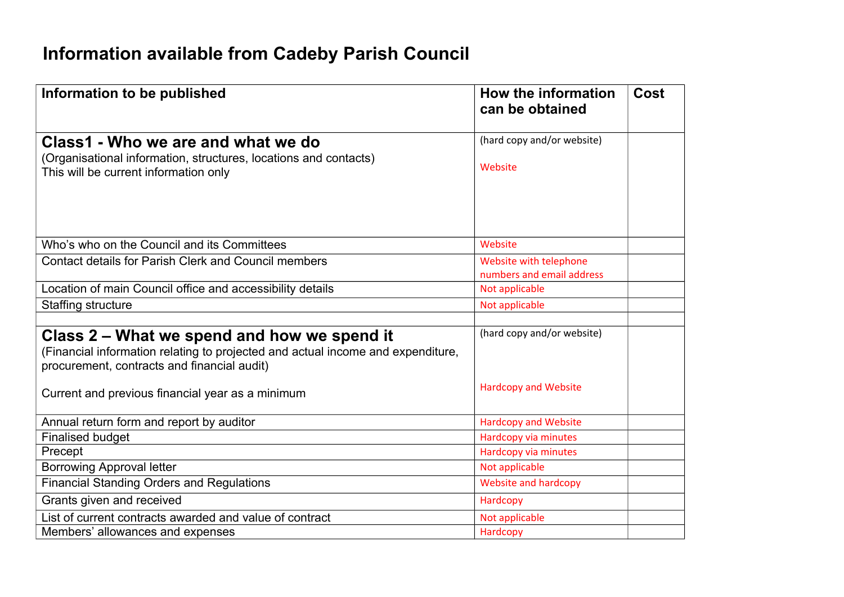## **Information available from Cadeby Parish Council**

| Information to be published                                                                                                                                                   | How the information<br>can be obtained              | <b>Cost</b> |
|-------------------------------------------------------------------------------------------------------------------------------------------------------------------------------|-----------------------------------------------------|-------------|
| Class1 - Who we are and what we do                                                                                                                                            | (hard copy and/or website)                          |             |
| (Organisational information, structures, locations and contacts)<br>This will be current information only                                                                     | Website                                             |             |
|                                                                                                                                                                               |                                                     |             |
| Who's who on the Council and its Committees                                                                                                                                   | Website                                             |             |
| <b>Contact details for Parish Clerk and Council members</b>                                                                                                                   | Website with telephone<br>numbers and email address |             |
| Location of main Council office and accessibility details                                                                                                                     | Not applicable                                      |             |
| Staffing structure                                                                                                                                                            | Not applicable                                      |             |
|                                                                                                                                                                               |                                                     |             |
| Class 2 – What we spend and how we spend it<br>(Financial information relating to projected and actual income and expenditure,<br>procurement, contracts and financial audit) | (hard copy and/or website)                          |             |
| Current and previous financial year as a minimum                                                                                                                              | <b>Hardcopy and Website</b>                         |             |
| Annual return form and report by auditor                                                                                                                                      | <b>Hardcopy and Website</b>                         |             |
| <b>Finalised budget</b>                                                                                                                                                       | Hardcopy via minutes                                |             |
| Precept                                                                                                                                                                       | Hardcopy via minutes                                |             |
| <b>Borrowing Approval letter</b>                                                                                                                                              | Not applicable                                      |             |
| <b>Financial Standing Orders and Regulations</b>                                                                                                                              | Website and hardcopy                                |             |
| Grants given and received                                                                                                                                                     | Hardcopy                                            |             |
| List of current contracts awarded and value of contract                                                                                                                       | Not applicable                                      |             |
| Members' allowances and expenses                                                                                                                                              | Hardcopy                                            |             |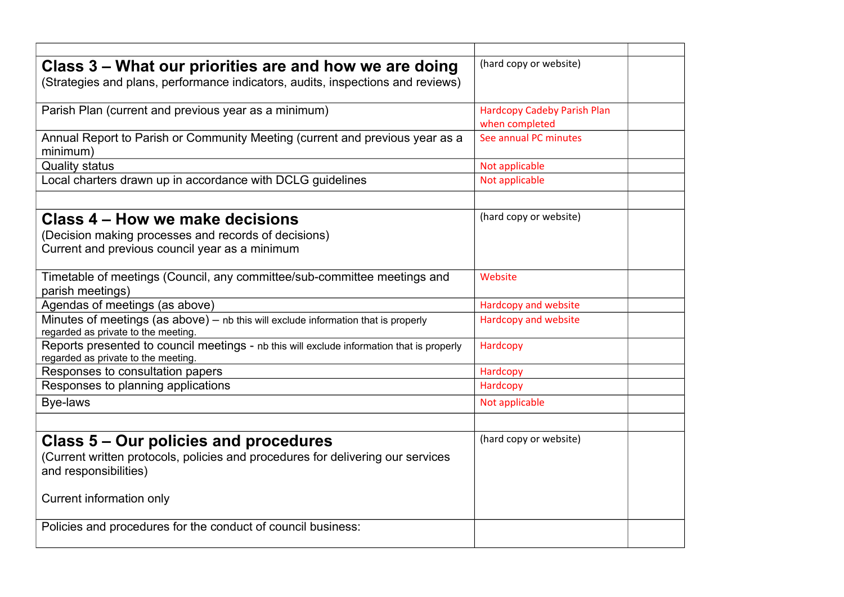| Class 3 – What our priorities are and how we are doing<br>(Strategies and plans, performance indicators, audits, inspections and reviews) | (hard copy or website)                               |  |
|-------------------------------------------------------------------------------------------------------------------------------------------|------------------------------------------------------|--|
| Parish Plan (current and previous year as a minimum)                                                                                      | <b>Hardcopy Cadeby Parish Plan</b><br>when completed |  |
| Annual Report to Parish or Community Meeting (current and previous year as a<br>minimum)                                                  | See annual PC minutes                                |  |
| <b>Quality status</b>                                                                                                                     | Not applicable                                       |  |
| Local charters drawn up in accordance with DCLG guidelines                                                                                | Not applicable                                       |  |
|                                                                                                                                           |                                                      |  |
| Class 4 – How we make decisions<br>(Decision making processes and records of decisions)<br>Current and previous council year as a minimum | (hard copy or website)                               |  |
| Timetable of meetings (Council, any committee/sub-committee meetings and<br>parish meetings)                                              | Website                                              |  |
| Agendas of meetings (as above)                                                                                                            | Hardcopy and website                                 |  |
| Minutes of meetings (as above) - nb this will exclude information that is properly<br>regarded as private to the meeting.                 | Hardcopy and website                                 |  |
| Reports presented to council meetings - nb this will exclude information that is properly<br>regarded as private to the meeting.          | Hardcopy                                             |  |
| Responses to consultation papers                                                                                                          | Hardcopy                                             |  |
| Responses to planning applications                                                                                                        | Hardcopy                                             |  |
| Bye-laws                                                                                                                                  | Not applicable                                       |  |
|                                                                                                                                           |                                                      |  |
| Class 5 – Our policies and procedures                                                                                                     | (hard copy or website)                               |  |
| (Current written protocols, policies and procedures for delivering our services<br>and responsibilities)                                  |                                                      |  |
| Current information only                                                                                                                  |                                                      |  |
| Policies and procedures for the conduct of council business:                                                                              |                                                      |  |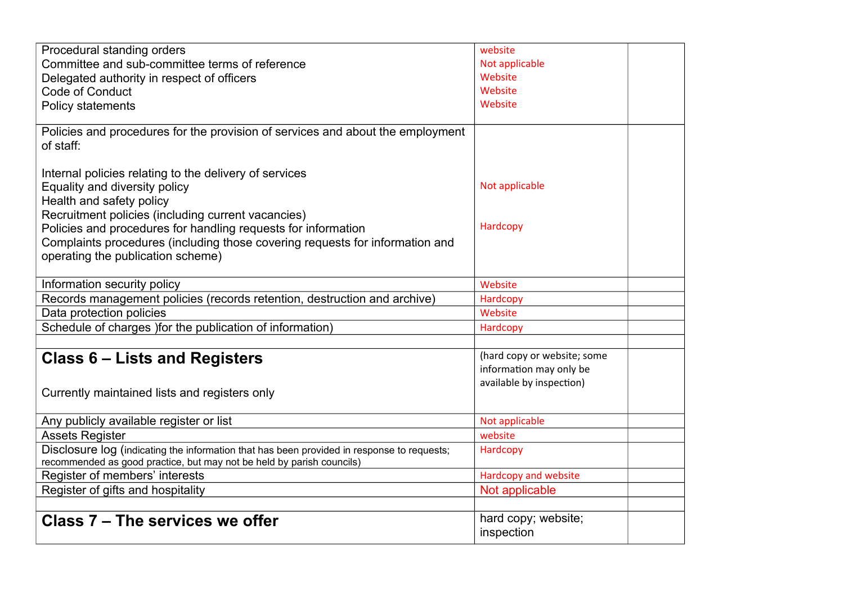| Procedural standing orders                                                                 | website                     |  |
|--------------------------------------------------------------------------------------------|-----------------------------|--|
| Committee and sub-committee terms of reference                                             | Not applicable              |  |
| Delegated authority in respect of officers                                                 | Website                     |  |
| Code of Conduct                                                                            | Website                     |  |
| Policy statements                                                                          | Website                     |  |
|                                                                                            |                             |  |
| Policies and procedures for the provision of services and about the employment             |                             |  |
| of staff:                                                                                  |                             |  |
|                                                                                            |                             |  |
| Internal policies relating to the delivery of services                                     |                             |  |
| Equality and diversity policy                                                              | Not applicable              |  |
| Health and safety policy                                                                   |                             |  |
| Recruitment policies (including current vacancies)                                         |                             |  |
| Policies and procedures for handling requests for information                              | Hardcopy                    |  |
| Complaints procedures (including those covering requests for information and               |                             |  |
| operating the publication scheme)                                                          |                             |  |
|                                                                                            |                             |  |
| Information security policy                                                                | Website                     |  |
| Records management policies (records retention, destruction and archive)                   | Hardcopy                    |  |
| Data protection policies                                                                   | Website                     |  |
| Schedule of charges ) for the publication of information)                                  | Hardcopy                    |  |
|                                                                                            |                             |  |
| <b>Class 6 – Lists and Registers</b>                                                       | (hard copy or website; some |  |
|                                                                                            | information may only be     |  |
|                                                                                            | available by inspection)    |  |
| Currently maintained lists and registers only                                              |                             |  |
| Any publicly available register or list                                                    | Not applicable              |  |
| <b>Assets Register</b>                                                                     | website                     |  |
| Disclosure log (indicating the information that has been provided in response to requests; | Hardcopy                    |  |
| recommended as good practice, but may not be held by parish councils)                      |                             |  |
| Register of members' interests                                                             | Hardcopy and website        |  |
| Register of gifts and hospitality                                                          | Not applicable              |  |
|                                                                                            |                             |  |
| Class 7 – The services we offer                                                            | hard copy; website;         |  |
|                                                                                            | inspection                  |  |
|                                                                                            |                             |  |